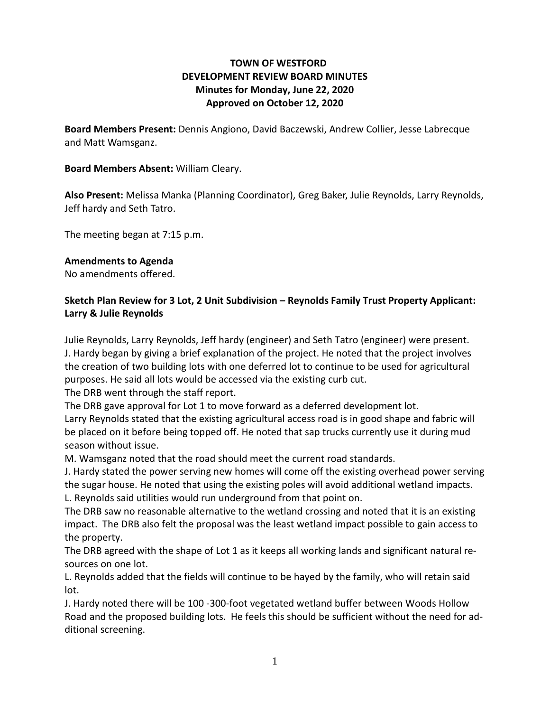### **TOWN OF WESTFORD DEVELOPMENT REVIEW BOARD MINUTES Minutes for Monday, June 22, 2020 Approved on October 12, 2020**

**Board Members Present:** Dennis Angiono, David Baczewski, Andrew Collier, Jesse Labrecque and Matt Wamsganz.

#### **Board Members Absent:** William Cleary.

**Also Present:** Melissa Manka (Planning Coordinator), Greg Baker, Julie Reynolds, Larry Reynolds, Jeff hardy and Seth Tatro.

The meeting began at 7:15 p.m.

#### **Amendments to Agenda**

No amendments offered.

### **Sketch Plan Review for 3 Lot, 2 Unit Subdivision – Reynolds Family Trust Property Applicant: Larry & Julie Reynolds**

Julie Reynolds, Larry Reynolds, Jeff hardy (engineer) and Seth Tatro (engineer) were present. J. Hardy began by giving a brief explanation of the project. He noted that the project involves the creation of two building lots with one deferred lot to continue to be used for agricultural purposes. He said all lots would be accessed via the existing curb cut.

The DRB went through the staff report.

The DRB gave approval for Lot 1 to move forward as a deferred development lot.

Larry Reynolds stated that the existing agricultural access road is in good shape and fabric will be placed on it before being topped off. He noted that sap trucks currently use it during mud season without issue.

M. Wamsganz noted that the road should meet the current road standards.

J. Hardy stated the power serving new homes will come off the existing overhead power serving the sugar house. He noted that using the existing poles will avoid additional wetland impacts. L. Reynolds said utilities would run underground from that point on.

The DRB saw no reasonable alternative to the wetland crossing and noted that it is an existing impact. The DRB also felt the proposal was the least wetland impact possible to gain access to the property.

The DRB agreed with the shape of Lot 1 as it keeps all working lands and significant natural resources on one lot.

L. Reynolds added that the fields will continue to be hayed by the family, who will retain said lot.

J. Hardy noted there will be 100 -300-foot vegetated wetland buffer between Woods Hollow Road and the proposed building lots. He feels this should be sufficient without the need for additional screening.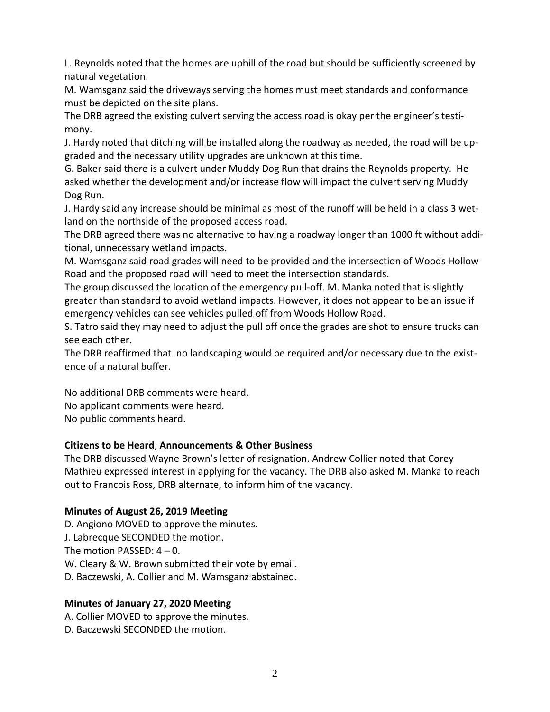L. Reynolds noted that the homes are uphill of the road but should be sufficiently screened by natural vegetation.

M. Wamsganz said the driveways serving the homes must meet standards and conformance must be depicted on the site plans.

The DRB agreed the existing culvert serving the access road is okay per the engineer's testimony.

J. Hardy noted that ditching will be installed along the roadway as needed, the road will be upgraded and the necessary utility upgrades are unknown at this time.

G. Baker said there is a culvert under Muddy Dog Run that drains the Reynolds property. He asked whether the development and/or increase flow will impact the culvert serving Muddy Dog Run.

J. Hardy said any increase should be minimal as most of the runoff will be held in a class 3 wetland on the northside of the proposed access road.

The DRB agreed there was no alternative to having a roadway longer than 1000 ft without additional, unnecessary wetland impacts.

M. Wamsganz said road grades will need to be provided and the intersection of Woods Hollow Road and the proposed road will need to meet the intersection standards.

The group discussed the location of the emergency pull-off. M. Manka noted that is slightly greater than standard to avoid wetland impacts. However, it does not appear to be an issue if emergency vehicles can see vehicles pulled off from Woods Hollow Road.

S. Tatro said they may need to adjust the pull off once the grades are shot to ensure trucks can see each other.

The DRB reaffirmed that no landscaping would be required and/or necessary due to the existence of a natural buffer.

No additional DRB comments were heard. No applicant comments were heard.

No public comments heard.

# **Citizens to be Heard**, **Announcements & Other Business**

The DRB discussed Wayne Brown's letter of resignation. Andrew Collier noted that Corey Mathieu expressed interest in applying for the vacancy. The DRB also asked M. Manka to reach out to Francois Ross, DRB alternate, to inform him of the vacancy.

# **Minutes of August 26, 2019 Meeting**

D. Angiono MOVED to approve the minutes. J. Labrecque SECONDED the motion. The motion PASSED:  $4 - 0$ . W. Cleary & W. Brown submitted their vote by email. D. Baczewski, A. Collier and M. Wamsganz abstained.

### **Minutes of January 27, 2020 Meeting**

A. Collier MOVED to approve the minutes.

D. Baczewski SECONDED the motion.